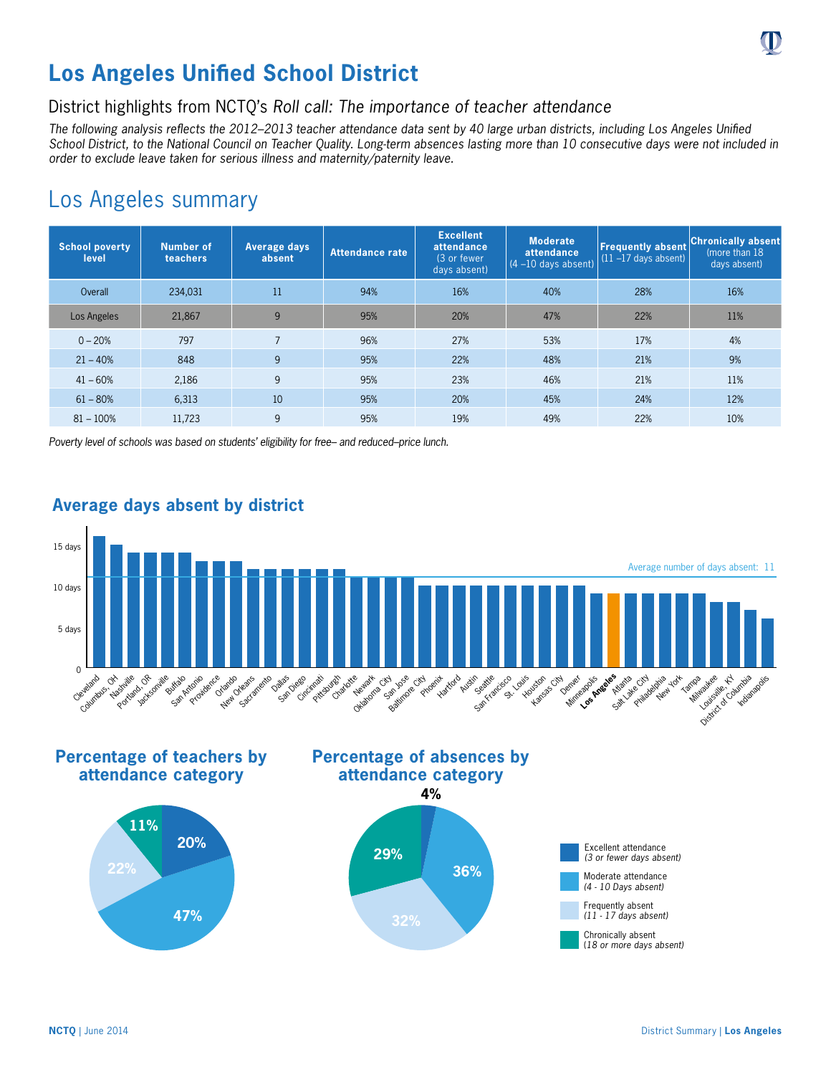

# **Los Angeles Unified School District**

### District highlights from NCTQ's *Roll call: The importance of teacher attendance*

*The following analysis reflects the 2012–2013 teacher attendance data sent by 40 large urban districts, including Los Angeles Unified School District, to the National Council on Teacher Quality. Long-term absences lasting more than 10 consecutive days were not included in order to exclude leave taken for serious illness and maternity/paternity leave.*

# Los Angeles summary

| <b>School poverty</b><br>level | Number of<br>teachers | <b>Average days</b><br>absent | <b>Attendance rate</b> | <b>Excellent</b><br>attendance<br>(3 or fewer<br>days absent) | <b>Moderate</b><br>attendance<br>$(4 - 10$ days absent) | <b>Frequently absent</b><br>$(11 - 17$ days absent) | <b>Chronically absent</b><br>(more than 18)<br>days absent) |
|--------------------------------|-----------------------|-------------------------------|------------------------|---------------------------------------------------------------|---------------------------------------------------------|-----------------------------------------------------|-------------------------------------------------------------|
| Overall                        | 234,031               | 11                            | 94%                    | 16%                                                           | 40%                                                     | 28%                                                 | 16%                                                         |
| Los Angeles                    | 21.867                | 9                             | 95%                    | 20%                                                           | 47%                                                     | 22%                                                 | 11%                                                         |
| $0 - 20%$                      | 797                   | $\overline{7}$                | 96%                    | 27%                                                           | 53%                                                     | 17%                                                 | 4%                                                          |
| $21 - 40%$                     | 848                   | 9                             | 95%                    | 22%                                                           | 48%                                                     | 21%                                                 | 9%                                                          |
| $41 - 60%$                     | 2,186                 | 9                             | 95%                    | 23%                                                           | 46%                                                     | 21%                                                 | 11%                                                         |
| $61 - 80%$                     | 6,313                 | 10                            | 95%                    | 20%                                                           | 45%                                                     | 24%                                                 | 12%                                                         |
| $81 - 100%$                    | 11,723                | 9                             | 95%                    | 19%                                                           | 49%                                                     | 22%                                                 | 10%                                                         |

*Poverty level of schools was based on students' eligibility for free– and reduced–price lunch.*



#### **Average days absent by district**

**Percentage of teachers by attendance category**









(*18 or more days absent)*